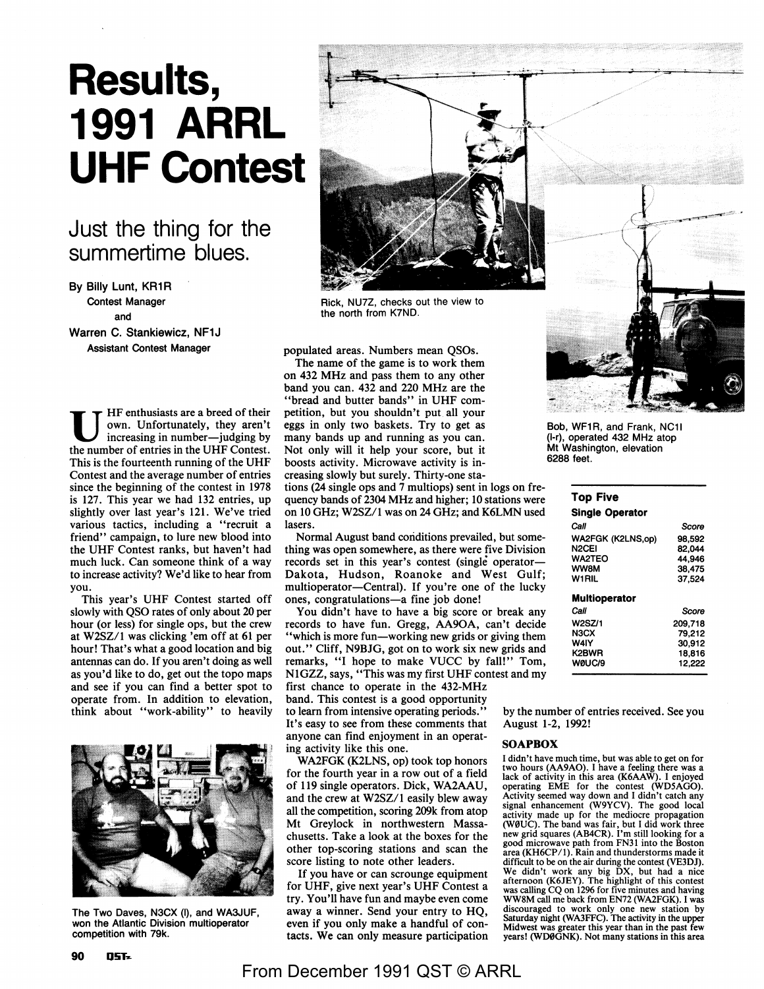# **Results, 1991 ARRL UHF Contest**

# Just the thing for the summertime blues.

**By Billy** Lunt, KR1 R Contest Manager and

Warren C. Stankiewicz, NF1J Assistant Contest Manager

U HF enthusiasts are a breed of their own. Unfortunately, they aren't increasing in number—judging by the number of entries in the UHF Contest. This is the fourteenth running of the UHF Contest and the average number of entries since the beginning of the contest in 1978 is 127. This year we had 132 entries, up slightly over last year's 121. We've tried various tactics, including a "recruit a friend" campaign, to lure new blood into the UHF Contest ranks, but haven't had much luck. Can someone think of a way to increase activity? We'd like to hear from you.

This year's UHF Contest started off slowly with QSO rates of only about 20 per hour (or less) for single ops, but the crew at W2SZ/1 was clicking 'em off at 61 per hour! That's what a good location and big antennas can do. If you aren't doing as well as you'd like to do, get out the topo maps and see if you can find a better spot to operate from. In addition to elevation, think about "work-ability" to heavily



The Two Daves, N3CX (I), and WA3JUF, won the Atlantic Division multioperator competition with 79k.



Rick, NU7Z, checks out the view to the north from K7ND.

populated areas. Numbers mean QSOs.

The name of the game is to work them on 432 MHz and pass them to any other band you can. 432 and 220 MHz are the "bread and butter bands" in UHF competition, but you shouldn't put. all your eggs in only two baskets. Try to get as many bands up and running as you can. Not only will it help your score, but it boosts activity. Microwave activity is increasing slowly but surely. Thirty-one sta-

tions (24 single ops and 7 multiops) sent in logs on frequency bands of 2304 MHz and higher; 10 stations were on 10 GHz; W2SZ/1 was on 24 GHz; and K6LMN used lasers.

Normal August band conditions prevailed, but something was open somewhere, as there were five Division records set in this year's contest (single operator-Dakota, Hudson, Roanoke and West Gulf; multioperator-Central). If you're one of the lucky ones, congratulations-a fine job done!

You didn't have to have a big score or break any records to have fun. Gregg, AA9OA, can't decide "which is more fun—working new grids or giving them out." Cliff, N9BJG, got on to work six new grids and remarks, "I hope to make VUCC by fall!" Tom, NlGZZ, says, "This was my first UHF contest and my first chance to operate in the 432-MHz band. This contest is a good opportunity to learn from intensive operating periods.'' It's easy to see from these comments that anyone can find enjoyment in an operating activity like this one.

WA2FGK (K2LNS, op) took top honors for the fourth year in a row out of a field of 119 single operators. Dick, WA2AAU, and the crew at W2SZ/1 easily blew away all the competition, scoring 209k from atop Mt Greylock in northwestern Massachusetts. Take a look at the boxes for the other top-scoring stations and scan the score listing to note other leaders.

If you have or can scrounge equipment for UHF, give next year's UHF Contest a try. You'll have fun and maybe even come away a winner. Send your entry to HQ, even if you only make a handful of contacts. We can only measure participation



Bob, WF1R, and Frank, NC1I (I-r), operated 432 MHz atop Mt Washington, elevation 6288 feet.

### **Top Five**

| Score   |
|---------|
| 98.592  |
| 82.044  |
| 44.946  |
| 38.475  |
| 37.524  |
|         |
| Score   |
| 209,718 |
| 79.212  |
| 30,912  |
| 18.816  |
| 12,222  |
|         |

by the number of entries received. See you August 1-2, 1992!

#### **SOAPBOX**

I didn't have much time, but was able to get on for two hours (AA9AO). I have a feeling there was a lack of activity in this area (K6AAW). I enjoyed operating EME for the contest (WDSAGO). Activity seemed way down and I didn't catch any signal enhancement (W9YCV). The good local activity made up for the mediocre propagation (W0UC). The band was fair, but I did work three new grid squares (AB4CR). I'm still looking for a good microwave path from FN31 into the Boston area (KH6CP/1). Rain and thunderstorms made it difficult to be on the air during the contest (VE3DJ). We didn't work any big DX, but had a nice afternoon (K6JEY). The highlight of this contest was calling CQ on 1296 for five minutes and having WW8M call me back from EN72 (WA2FGK). I was discouraged to work only one new station by Saturday night (WA3FFC). The activity in the upper Midwest was greater this year than in the past few years! (WDØGNK). Not many stations in this area

## From December 1991 QST © ARRL